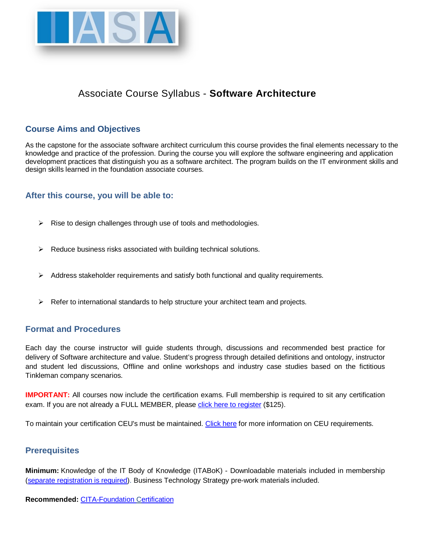

# Associate Course Syllabus - **Software Architecture**

# **Course Aims and Objectives**

As the capstone for the associate software architect curriculum this course provides the final elements necessary to the knowledge and practice of the profession. During the course you will explore the software engineering and application development practices that distinguish you as a software architect. The program builds on the IT environment skills and design skills learned in the foundation associate courses.

# **After this course, you will be able to:**

- $\triangleright$  Rise to design challenges through use of tools and methodologies.
- $\triangleright$  Reduce business risks associated with building technical solutions.
- $\triangleright$  Address stakeholder requirements and satisfy both functional and quality requirements.
- $\triangleright$  Refer to international standards to help structure your architect team and projects.

# **Format and Procedures**

Each day the course instructor will guide students through, discussions and recommended best practice for delivery of Software architecture and value. Student's progress through detailed definitions and ontology, instructor and student led discussions, Offline and online workshops and industry case studies based on the fictitious Tinkleman company scenarios.

**IMPORTANT:** All courses now include the certification exams. Full membership is required to sit any certification exam. If you are not already a FULL MEMBER, please [click here to register](https://www.iasaglobal.org/assnfe/enrollme.asp) (\$125).

To maintain your certification CEU's must be maintained. [Click here](http://www.iasaglobal.org/iasa/Continuing_Education_%28CEU%29.asp) for more information on CEU requirements.

# **Prerequisites**

**Minimum:** Knowledge of the IT Body of Knowledge (ITABoK) - Downloadable materials included in membership [\(separate registration is required\)](http://www.iasaglobal.org/assnfe/ev.asp?MODE=&ID=646). Business Technology Strategy pre-work materials included.

**Recommended:** [CITA-Foundation Certification](http://www.iasaglobal.org/assnfe/ev.asp?MODE=&ID=523)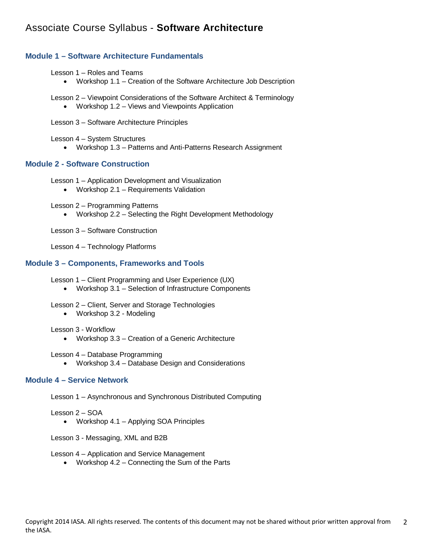# Associate Course Syllabus - **Software Architecture**

## **Module 1 – Software Architecture Fundamentals**

#### Lesson 1 – Roles and Teams

• Workshop 1.1 – Creation of the Software Architecture Job Description

Lesson 2 – Viewpoint Considerations of the Software Architect & Terminology

- Workshop 1.2 Views and Viewpoints Application
- Lesson 3 Software Architecture Principles

Lesson 4 – System Structures

• Workshop 1.3 – Patterns and Anti-Patterns Research Assignment

## **Module 2 - Software Construction**

Lesson 1 – Application Development and Visualization

• Workshop 2.1 – Requirements Validation

Lesson 2 – Programming Patterns

• Workshop 2.2 – Selecting the Right Development Methodology

Lesson 3 – Software Construction

Lesson 4 – Technology Platforms

### **Module 3 – Components, Frameworks and Tools**

Lesson 1 – Client Programming and User Experience (UX)

• Workshop 3.1 – Selection of Infrastructure Components

Lesson 2 – Client, Server and Storage Technologies

• Workshop 3.2 - Modeling

Lesson 3 - Workflow

• Workshop 3.3 – Creation of a Generic Architecture

Lesson 4 – Database Programming

• Workshop 3.4 – Database Design and Considerations

### **Module 4 – Service Network**

Lesson 1 – Asynchronous and Synchronous Distributed Computing

Lesson 2 – SOA

• Workshop 4.1 – Applying SOA Principles

Lesson 3 - Messaging, XML and B2B

Lesson 4 – Application and Service Management

• Workshop 4.2 – Connecting the Sum of the Parts